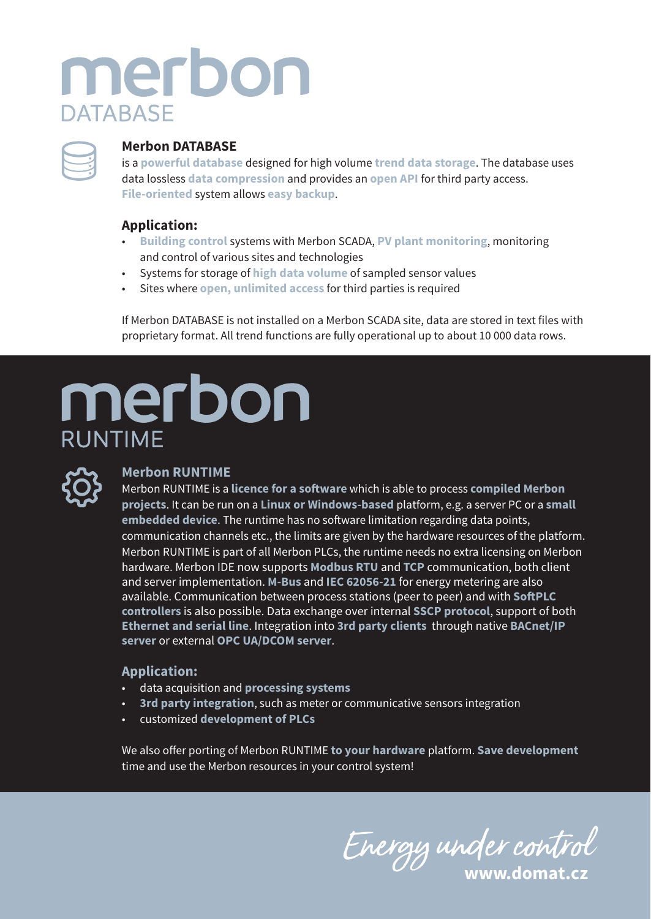## merbon **DATABASE**



#### **Merbon DATABASE**

is a **powerful database** designed for high volume **trend data storage**. The database uses data lossless **data compression** and provides an **open API** for third party access. **File-oriented** system allows **easy backup**.

### **Application:**

- **Building control** systems with Merbon SCADA, **PV plant monitoring**, monitoring and control of various sites and technologies
- Systems for storage of **high data volume** of sampled sensor values
- Sites where **open, unlimited access** for third parties is required

If Merbon DATABASE is not installed on a Merbon SCADA site, data are stored in text files with proprietary format. All trend functions are fully operational up to about 10 000 data rows.

# merbon **RUNTIME**



#### **Merbon RUNTIME**

Merbon RUNTIME is a **licence for a software** which is able to process **compiled Merbon projects**. It can be run on a **Linux or Windows-based** platform, e.g. a server PC or a **small embedded device**. The runtime has no software limitation regarding data points, communication channels etc., the limits are given by the hardware resources of the platform. Merbon RUNTIME is part of all Merbon PLCs, the runtime needs no extra licensing on Merbon hardware. Merbon IDE now supports **Modbus RTU** and **TCP** communication, both client and server implementation. **M-Bus** and **IEC 62056-21** for energy metering are also available. Communication between process stations (peer to peer) and with **SoftPLC controllers** is also possible. Data exchange over internal **SSCP protocol**, support of both **Ethernet and serial line**. Integration into **3rd party clients** through native **BACnet/IP server** or external **OPC UA/DCOM server**.

#### **Application:**

- data acquisition and **processing systems**
- **3rd party integration**, such as meter or communicative sensors integration
- customized **development of PLCs**

We also offer porting of Merbon RUNTIME **to your hardware** platform. **Save development**  time and use the Merbon resources in your control system!

**www.domat.cz**